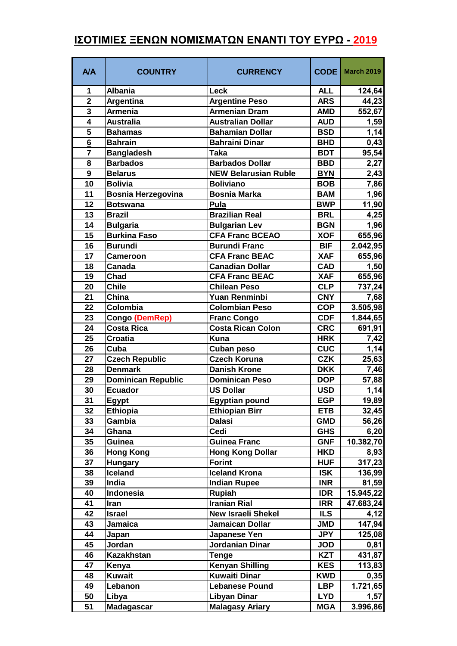## **ΙΣΟΤΙΜΙΕΣ ΞΕΝΩΝ ΝΟΜΙΣΜΑΤΩΝ ΕΝΑΝΤΙ ΤΟΥ ΕΥΡΩ - 2019**

| <b>A/A</b>              | <b>COUNTRY</b>            | <b>CURRENCY</b>             | <b>CODE</b> | <b>March 2019</b> |
|-------------------------|---------------------------|-----------------------------|-------------|-------------------|
| 1                       | <b>Albania</b>            | Leck                        | <b>ALL</b>  | 124,64            |
| $\overline{\mathbf{2}}$ | Argentina                 | <b>Argentine Peso</b>       | <b>ARS</b>  | 44,23             |
| 3                       | <b>Armenia</b>            | <b>Armenian Dram</b>        | <b>AMD</b>  | 552,67            |
| $\overline{4}$          | <b>Australia</b>          | <b>Australian Dollar</b>    | <b>AUD</b>  | 1,59              |
| 5                       | <b>Bahamas</b>            | <b>Bahamian Dollar</b>      | <b>BSD</b>  | 1,14              |
| 6                       | <b>Bahrain</b>            | <b>Bahraini Dinar</b>       | <b>BHD</b>  | 0,43              |
| $\overline{7}$          | <b>Bangladesh</b>         | <b>Taka</b>                 | <b>BDT</b>  | 95,54             |
| 8                       | <b>Barbados</b>           | <b>Barbados Dollar</b>      | <b>BBD</b>  | 2,27              |
| 9                       | <b>Belarus</b>            | <b>NEW Belarusian Ruble</b> | <b>BYN</b>  | 2,43              |
| 10                      | <b>Bolivia</b>            | <b>Boliviano</b>            | <b>BOB</b>  | 7,86              |
| 11                      | <b>Bosnia Herzegovina</b> | <b>Bosnia Marka</b>         | <b>BAM</b>  | 1,96              |
| 12                      | <b>Botswana</b>           | Pula                        | <b>BWP</b>  | 11,90             |
| 13                      | <b>Brazil</b>             | <b>Brazilian Real</b>       | <b>BRL</b>  | 4,25              |
| 14                      | <b>Bulgaria</b>           | <b>Bulgarian Lev</b>        | <b>BGN</b>  | 1,96              |
| 15                      | <b>Burkina Faso</b>       | <b>CFA Franc BCEAO</b>      | <b>XOF</b>  | 655,96            |
| 16                      | <b>Burundi</b>            | <b>Burundi Franc</b>        | <b>BIF</b>  | 2.042,95          |
| 17                      | <b>Cameroon</b>           | <b>CFA Franc BEAC</b>       | <b>XAF</b>  | 655,96            |
| 18                      | Canada                    | <b>Canadian Dollar</b>      | <b>CAD</b>  | 1,50              |
| 19                      | Chad                      | <b>CFA Franc BEAC</b>       | <b>XAF</b>  | 655,96            |
| 20                      | <b>Chile</b>              | <b>Chilean Peso</b>         | <b>CLP</b>  | 737,24            |
| 21                      | China                     | Yuan Renminbi               | <b>CNY</b>  | 7,68              |
| 22                      | Colombia                  | <b>Colombian Peso</b>       | <b>COP</b>  | 3.505,98          |
| 23                      | Congo (DemRep)            | <b>Franc Congo</b>          | <b>CDF</b>  | 1.844,65          |
| 24                      | <b>Costa Rica</b>         | <b>Costa Rican Colon</b>    | <b>CRC</b>  | 691,91            |
| 25                      | <b>Croatia</b>            | <b>Kuna</b>                 | <b>HRK</b>  | 7,42              |
| 26                      | Cuba                      | <b>Cuban peso</b>           | <b>CUC</b>  | 1,14              |
| 27                      | <b>Czech Republic</b>     | <b>Czech Koruna</b>         | <b>CZK</b>  | 25,63             |
| 28                      | <b>Denmark</b>            | <b>Danish Krone</b>         | <b>DKK</b>  | 7,46              |
| 29                      | Dominican Republic        | <b>Dominican Peso</b>       | <b>DOP</b>  | 57,88             |
| 30                      | <b>Ecuador</b>            | <b>US Dollar</b>            | <b>USD</b>  | 1,14              |
| 31                      | Egypt                     | <b>Egyptian pound</b>       | <b>EGP</b>  | 19,89             |
| 32                      | <b>Ethiopia</b>           | Ethiopian Birr              | <b>ETB</b>  | 32,45             |
| 33                      | Gambia                    | <b>Dalasi</b>               | <b>GMD</b>  | 56,26             |
| 34                      | Ghana                     | Cedi                        | <b>GHS</b>  | 6,20              |
| 35                      | <b>Guinea</b>             | <b>Guinea Franc</b>         | <b>GNF</b>  | 10.382,70         |
| 36                      | <b>Hong Kong</b>          | <b>Hong Kong Dollar</b>     | <b>HKD</b>  | 8,93              |
| 37                      | <b>Hungary</b>            | <b>Forint</b>               | <b>HUF</b>  | 317,23            |
| 38                      | Iceland                   | <b>Iceland Krona</b>        | <b>ISK</b>  | 136,99            |
| 39                      | India                     | <b>Indian Rupee</b>         | <b>INR</b>  | 81,59             |
| 40                      | Indonesia                 | <b>Rupiah</b>               | IDR         | 15.945,22         |
| 41                      | Iran                      | <b>Iranian Rial</b>         | <b>IRR</b>  | 47.683,24         |
| 42                      | <b>Israel</b>             | <b>New Israeli Shekel</b>   | <b>ILS</b>  | 4,12              |
| 43                      | <b>Jamaica</b>            | Jamaican Dollar             | <b>JMD</b>  | 147,94            |
| 44                      | Japan                     | Japanese Yen                | <b>JPY</b>  | 125,08            |
| 45                      | Jordan                    | Jordanian Dinar             | <b>JOD</b>  | 0,81              |
| 46                      | Kazakhstan                | Tenge                       | <b>KZT</b>  | 431,87            |
| 47                      | Kenya                     | <b>Kenyan Shilling</b>      | <b>KES</b>  | 113,83            |
| 48                      | <b>Kuwait</b>             | <b>Kuwaiti Dinar</b>        | <b>KWD</b>  | 0,35              |
| 49                      | Lebanon                   | <b>Lebanese Pound</b>       | <b>LBP</b>  | 1.721,65          |
| 50                      | Libya                     | <b>Libyan Dinar</b>         | <b>LYD</b>  | 1,57              |
| 51                      | <b>Madagascar</b>         | <b>Malagasy Ariary</b>      | <b>MGA</b>  | 3.996,86          |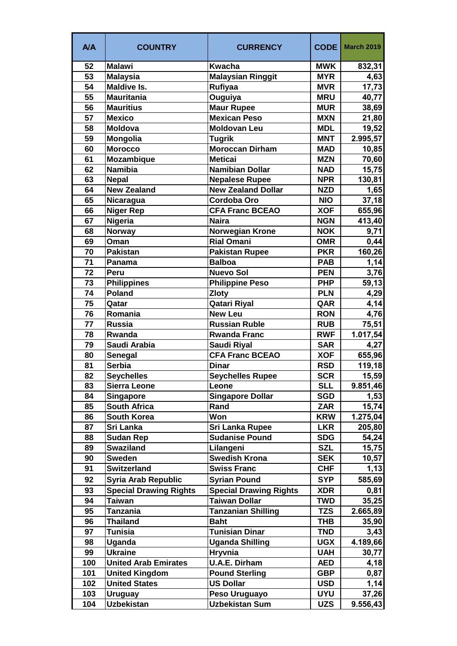| <b>A/A</b> | <b>COUNTRY</b>                | <b>CURRENCY</b>               | <b>CODE</b> | <b>March 2019</b> |
|------------|-------------------------------|-------------------------------|-------------|-------------------|
| 52         | <b>Malawi</b>                 | <b>Kwacha</b>                 | <b>MWK</b>  | 832,31            |
| 53         | <b>Malaysia</b>               | <b>Malaysian Ringgit</b>      | <b>MYR</b>  | 4,63              |
| 54         | <b>Maldive Is.</b>            | <b>Rufiyaa</b>                | <b>MVR</b>  | 17,73             |
| 55         | <b>Mauritania</b>             | Ouguiya                       | <b>MRU</b>  | 40,77             |
| 56         | <b>Mauritius</b>              | <b>Maur Rupee</b>             | <b>MUR</b>  | 38,69             |
| 57         | <b>Mexico</b>                 | Mexican Peso                  | <b>MXN</b>  | 21,80             |
| 58         | <b>Moldova</b>                | <b>Moldovan Leu</b>           | <b>MDL</b>  | 19,52             |
| 59         | <b>Mongolia</b>               | <b>Tugrik</b>                 | <b>MNT</b>  | 2.995,57          |
| 60         | <b>Morocco</b>                | <b>Moroccan Dirham</b>        | <b>MAD</b>  | 10,85             |
| 61         | <b>Mozambique</b>             | <b>Meticai</b>                | <b>MZN</b>  | 70,60             |
| 62         | <b>Namibia</b>                | <b>Namibian Dollar</b>        | <b>NAD</b>  | 15,75             |
| 63         | <b>Nepal</b>                  | <b>Nepalese Rupee</b>         | <b>NPR</b>  | 130,81            |
| 64         | <b>New Zealand</b>            | <b>New Zealand Dollar</b>     | <b>NZD</b>  | 1,65              |
| 65         | Nicaragua                     | Cordoba Oro                   | <b>NIO</b>  | 37,18             |
| 66         | <b>Niger Rep</b>              | <b>CFA Franc BCEAO</b>        | <b>XOF</b>  | 655,96            |
| 67         | <b>Nigeria</b>                | <b>Naira</b>                  | <b>NGN</b>  | 413,40            |
| 68         | <b>Norway</b>                 | <b>Norwegian Krone</b>        | <b>NOK</b>  | 9,71              |
| 69         | Oman                          | <b>Rial Omani</b>             | <b>OMR</b>  | 0,44              |
| 70         | <b>Pakistan</b>               | <b>Pakistan Rupee</b>         | <b>PKR</b>  | 160,26            |
| 71         | Panama                        | <b>Balboa</b>                 | <b>PAB</b>  | 1,14              |
| 72         | Peru                          | <b>Nuevo Sol</b>              | <b>PEN</b>  | 3,76              |
| 73         | <b>Philippines</b>            | <b>Philippine Peso</b>        | <b>PHP</b>  | 59,13             |
| 74         | <b>Poland</b>                 | <b>Zloty</b>                  | <b>PLN</b>  | 4,29              |
| 75         | Qatar                         | Qatari Riyal                  | QAR         | 4,14              |
| 76         | Romania                       | <b>New Leu</b>                | <b>RON</b>  | 4,76              |
| 77         | <b>Russia</b>                 | <b>Russian Ruble</b>          | <b>RUB</b>  | 75,51             |
| 78         | Rwanda                        | <b>Rwanda Franc</b>           | <b>RWF</b>  | 1.017,54          |
| 79         | Saudi Arabia                  | <b>Saudi Riyal</b>            | <b>SAR</b>  | 4,27              |
| 80         | <b>Senegal</b>                | <b>CFA Franc BCEAO</b>        | <b>XOF</b>  | 655,96            |
| 81         | <b>Serbia</b>                 | <b>Dinar</b>                  | <b>RSD</b>  | 119, 18           |
| 82         | <b>Seychelles</b>             | <b>Seychelles Rupee</b>       | <b>SCR</b>  | 15,59             |
| 83         | <b>Sierra Leone</b>           | Leone                         | <b>SLL</b>  | 9.851,46          |
| 84         | <b>Singapore</b>              | <b>Singapore Dollar</b>       | <b>SGD</b>  | 1,53              |
| 85         | <b>South Africa</b>           | Rand                          | <b>ZAR</b>  | 15,74             |
| 86         | <b>South Korea</b>            | Won                           | <b>KRW</b>  | 1.275,04          |
| 87         | Sri Lanka                     | <b>Sri Lanka Rupee</b>        | <b>LKR</b>  | 205,80            |
| 88         | <b>Sudan Rep</b>              | <b>Sudanise Pound</b>         | <b>SDG</b>  | 54,24             |
| 89         | <b>Swaziland</b>              | Lilangeni                     | <b>SZL</b>  | 15,75             |
| 90         | <b>Sweden</b>                 | <b>Swedish Krona</b>          | <b>SEK</b>  | 10,57             |
| 91         | <b>Switzerland</b>            | <b>Swiss Franc</b>            | <b>CHF</b>  | 1,13              |
| 92         | <b>Syria Arab Republic</b>    | <b>Syrian Pound</b>           | <b>SYP</b>  | 585,69            |
| 93         | <b>Special Drawing Rights</b> | <b>Special Drawing Rights</b> | <b>XDR</b>  | 0,81              |
| 94         | <b>Taiwan</b>                 | <b>Taiwan Dollar</b>          | <b>TWD</b>  | 35,25             |
| 95         | Tanzania                      | <b>Tanzanian Shilling</b>     | <b>TZS</b>  | 2.665,89          |
| 96         | <b>Thailand</b>               | <b>Baht</b>                   | THB         | 35,90             |
| 97         | <b>Tunisia</b>                | <b>Tunisian Dinar</b>         | <b>TND</b>  | 3,43              |
| 98         | Uganda                        | <b>Uganda Shilling</b>        | <b>UGX</b>  | 4.189,66          |
| 99         | <b>Ukraine</b>                | <b>Hryvnia</b>                | <b>UAH</b>  | 30,77             |
| 100        | <b>United Arab Emirates</b>   | <b>U.A.E. Dirham</b>          | <b>AED</b>  | 4,18              |
| 101        | <b>United Kingdom</b>         | <b>Pound Sterling</b>         | <b>GBP</b>  | 0,87              |
| 102        | <b>United States</b>          | <b>US Dollar</b>              | <b>USD</b>  | 1,14              |
| 103        | <b>Uruguay</b>                | Peso Uruguayo                 | <b>UYU</b>  | 37,26             |
| 104        | <b>Uzbekistan</b>             | Uzbekistan Sum                | <b>UZS</b>  | 9.556,43          |